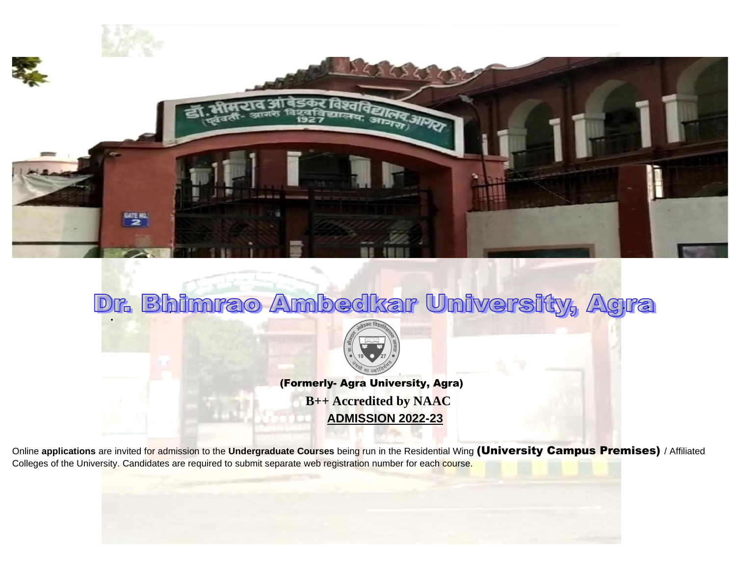

## Dr. Bhimrao Ambedkar University, Agra



(Formerly- Agra University, Agra) **B++ Accredited by NAAC ADMISSION 2022-23**

Online **applications** are invited for admission to the **Undergraduate Courses** being run in the Residential Wing (University Campus Premises) / Affiliated Colleges of the University. Candidates are required to submit separate web registration number for each course.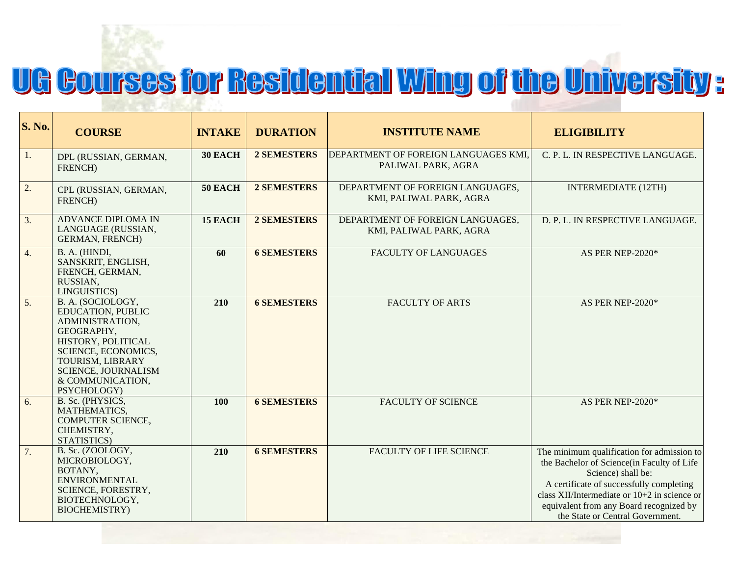# <u>UG Courses for Residential Wing of the University:</u>

| <b>S. No.</b> | <b>COURSE</b>                                                                                                                                                                                             | <b>INTAKE</b>  | <b>DURATION</b>    | <b>INSTITUTE NAME</b>                                       | <b>ELIGIBILITY</b>                                                                                                                                                                                                                                                                          |
|---------------|-----------------------------------------------------------------------------------------------------------------------------------------------------------------------------------------------------------|----------------|--------------------|-------------------------------------------------------------|---------------------------------------------------------------------------------------------------------------------------------------------------------------------------------------------------------------------------------------------------------------------------------------------|
| 1.            | DPL (RUSSIAN, GERMAN,<br>FRENCH)                                                                                                                                                                          | 30 EACH        | 2 SEMESTERS        | DEPARTMENT OF FOREIGN LANGUAGES KMI,<br>PALIWAL PARK, AGRA  | C. P. L. IN RESPECTIVE LANGUAGE.                                                                                                                                                                                                                                                            |
| 2.            | CPL (RUSSIAN, GERMAN,<br>FRENCH)                                                                                                                                                                          | <b>50 EACH</b> | 2 SEMESTERS        | DEPARTMENT OF FOREIGN LANGUAGES,<br>KMI, PALIWAL PARK, AGRA | <b>INTERMEDIATE (12TH)</b>                                                                                                                                                                                                                                                                  |
| 3.            | <b>ADVANCE DIPLOMA IN</b><br>LANGUAGE (RUSSIAN,<br><b>GERMAN, FRENCH)</b>                                                                                                                                 | 15 EACH        | <b>2 SEMESTERS</b> | DEPARTMENT OF FOREIGN LANGUAGES,<br>KMI, PALIWAL PARK, AGRA | D. P. L. IN RESPECTIVE LANGUAGE.                                                                                                                                                                                                                                                            |
| 4.            | B. A. (HINDI,<br>SANSKRIT, ENGLISH,<br>FRENCH, GERMAN,<br>RUSSIAN,<br>LINGUISTICS)                                                                                                                        | 60             | <b>6 SEMESTERS</b> | <b>FACULTY OF LANGUAGES</b>                                 | AS PER NEP-2020*                                                                                                                                                                                                                                                                            |
| 5.            | B. A. (SOCIOLOGY,<br>EDUCATION, PUBLIC<br>ADMINISTRATION,<br>GEOGRAPHY,<br>HISTORY, POLITICAL<br>SCIENCE, ECONOMICS,<br>TOURISM, LIBRARY<br><b>SCIENCE, JOURNALISM</b><br>& COMMUNICATION,<br>PSYCHOLOGY) | 210            | <b>6 SEMESTERS</b> | <b>FACULTY OF ARTS</b>                                      | AS PER NEP-2020*                                                                                                                                                                                                                                                                            |
| 6.            | B. Sc. (PHYSICS,<br>MATHEMATICS,<br>COMPUTER SCIENCE,<br>CHEMISTRY,<br>STATISTICS)                                                                                                                        | 100            | <b>6 SEMESTERS</b> | <b>FACULTY OF SCIENCE</b>                                   | AS PER NEP-2020*                                                                                                                                                                                                                                                                            |
| 7.            | B. Sc. (ZOOLOGY,<br>MICROBIOLOGY,<br>BOTANY,<br><b>ENVIRONMENTAL</b><br>SCIENCE, FORESTRY,<br>BIOTECHNOLOGY,<br><b>BIOCHEMISTRY</b> )                                                                     | 210            | <b>6 SEMESTERS</b> | <b>FACULTY OF LIFE SCIENCE</b>                              | The minimum qualification for admission to<br>the Bachelor of Science(in Faculty of Life<br>Science) shall be:<br>A certificate of successfully completing<br>class XII/Intermediate or $10+2$ in science or<br>equivalent from any Board recognized by<br>the State or Central Government. |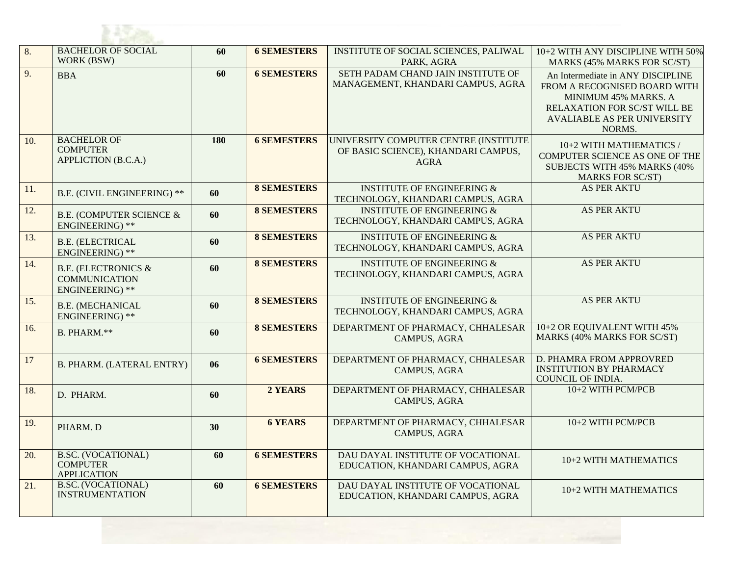| 8.  | <b>BACHELOR OF SOCIAL</b><br>WORK (BSW)                                   | 60  | <b>6 SEMESTERS</b> | INSTITUTE OF SOCIAL SCIENCES, PALIWAL<br>PARK, AGRA                                         | 10+2 WITH ANY DISCIPLINE WITH 50%<br><b>MARKS (45% MARKS FOR SC/ST)</b>                                                                                                   |
|-----|---------------------------------------------------------------------------|-----|--------------------|---------------------------------------------------------------------------------------------|---------------------------------------------------------------------------------------------------------------------------------------------------------------------------|
| 9.  | <b>BBA</b>                                                                | 60  | <b>6 SEMESTERS</b> | SETH PADAM CHAND JAIN INSTITUTE OF<br>MANAGEMENT, KHANDARI CAMPUS, AGRA                     | An Intermediate in ANY DISCIPLINE<br>FROM A RECOGNISED BOARD WITH<br>MINIMUM 45% MARKS. A<br>RELAXATION FOR SC/ST WILL BE<br><b>AVALIABLE AS PER UNIVERSITY</b><br>NORMS. |
| 10. | <b>BACHELOR OF</b><br><b>COMPUTER</b><br>APPLICTION (B.C.A.)              | 180 | <b>6 SEMESTERS</b> | UNIVERSITY COMPUTER CENTRE (INSTITUTE<br>OF BASIC SCIENCE), KHANDARI CAMPUS,<br><b>AGRA</b> | 10+2 WITH MATHEMATICS /<br>COMPUTER SCIENCE AS ONE OF THE<br>SUBJECTS WITH 45% MARKS (40%<br><b>MARKS FOR SC/ST)</b>                                                      |
| 11. | <b>B.E. (CIVIL ENGINEERING) **</b>                                        | 60  | <b>8 SEMESTERS</b> | <b>INSTITUTE OF ENGINEERING &amp;</b><br>TECHNOLOGY, KHANDARI CAMPUS, AGRA                  | AS PER AKTU                                                                                                                                                               |
| 12. | <b>B.E. (COMPUTER SCIENCE &amp;</b><br><b>ENGINEERING</b> ) **            | 60  | <b>8 SEMESTERS</b> | <b>INSTITUTE OF ENGINEERING &amp;</b><br>TECHNOLOGY, KHANDARI CAMPUS, AGRA                  | <b>AS PER AKTU</b>                                                                                                                                                        |
| 13. | <b>B.E. (ELECTRICAL</b><br>ENGINEERING) **                                | 60  | <b>8 SEMESTERS</b> | <b>INSTITUTE OF ENGINEERING &amp;</b><br>TECHNOLOGY, KHANDARI CAMPUS, AGRA                  | AS PER AKTU                                                                                                                                                               |
| 14. | <b>B.E. (ELECTRONICS &amp;</b><br><b>COMMUNICATION</b><br>ENGINEERING) ** | 60  | <b>8 SEMESTERS</b> | <b>INSTITUTE OF ENGINEERING &amp;</b><br>TECHNOLOGY, KHANDARI CAMPUS, AGRA                  | <b>AS PER AKTU</b>                                                                                                                                                        |
| 15. | <b>B.E. (MECHANICAL</b><br>ENGINEERING) **                                | 60  | <b>8 SEMESTERS</b> | <b>INSTITUTE OF ENGINEERING &amp;</b><br>TECHNOLOGY, KHANDARI CAMPUS, AGRA                  | AS PER AKTU                                                                                                                                                               |
| 16. | B. PHARM.**                                                               | 60  | <b>8 SEMESTERS</b> | DEPARTMENT OF PHARMACY, CHHALESAR<br>CAMPUS, AGRA                                           | 10+2 OR EQUIVALENT WITH 45%<br>MARKS (40% MARKS FOR SC/ST)                                                                                                                |
| 17  | <b>B. PHARM. (LATERAL ENTRY)</b>                                          | 06  | <b>6 SEMESTERS</b> | DEPARTMENT OF PHARMACY, CHHALESAR<br>CAMPUS, AGRA                                           | D. PHAMRA FROM APPROVRED<br><b>INSTITUTION BY PHARMACY</b><br>COUNCIL OF INDIA.                                                                                           |
| 18. | D. PHARM.                                                                 | 60  | 2 YEARS            | DEPARTMENT OF PHARMACY, CHHALESAR<br>CAMPUS, AGRA                                           | 10+2 WITH PCM/PCB                                                                                                                                                         |
| 19. | PHARM. D                                                                  | 30  | <b>6 YEARS</b>     | DEPARTMENT OF PHARMACY, CHHALESAR<br>CAMPUS, AGRA                                           | 10+2 WITH PCM/PCB                                                                                                                                                         |
| 20. | <b>B.SC. (VOCATIONAL)</b><br><b>COMPUTER</b><br><b>APPLICATION</b>        | 60  | <b>6 SEMESTERS</b> | DAU DAYAL INSTITUTE OF VOCATIONAL<br>EDUCATION, KHANDARI CAMPUS, AGRA                       | 10+2 WITH MATHEMATICS                                                                                                                                                     |
| 21. | <b>B.SC. (VOCATIONAL)</b><br><b>INSTRUMENTATION</b>                       | 60  | <b>6 SEMESTERS</b> | DAU DAYAL INSTITUTE OF VOCATIONAL<br>EDUCATION, KHANDARI CAMPUS, AGRA                       | 10+2 WITH MATHEMATICS                                                                                                                                                     |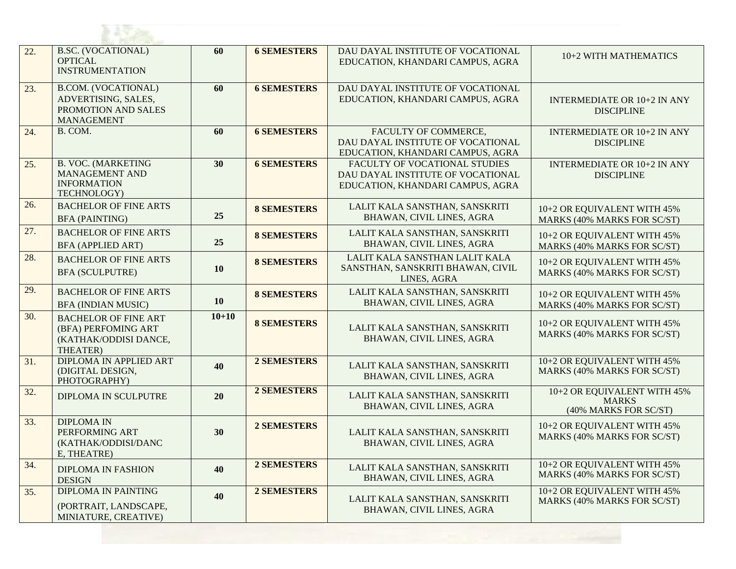| 22. | <b>B.SC. (VOCATIONAL)</b><br><b>OPTICAL</b><br><b>INSTRUMENTATION</b>                         | 60        | <b>6 SEMESTERS</b> | DAU DAYAL INSTITUTE OF VOCATIONAL<br>EDUCATION, KHANDARI CAMPUS, AGRA                                  | 10+2 WITH MATHEMATICS                                                |
|-----|-----------------------------------------------------------------------------------------------|-----------|--------------------|--------------------------------------------------------------------------------------------------------|----------------------------------------------------------------------|
| 23. | <b>B.COM.</b> (VOCATIONAL)<br>ADVERTISING, SALES,<br>PROMOTION AND SALES<br><b>MANAGEMENT</b> | 60        | <b>6 SEMESTERS</b> | DAU DAYAL INSTITUTE OF VOCATIONAL<br>EDUCATION, KHANDARI CAMPUS, AGRA                                  | <b>INTERMEDIATE OR 10+2 IN ANY</b><br><b>DISCIPLINE</b>              |
| 24. | B. COM.                                                                                       | 60        | <b>6 SEMESTERS</b> | FACULTY OF COMMERCE,<br>DAU DAYAL INSTITUTE OF VOCATIONAL<br>EDUCATION, KHANDARI CAMPUS, AGRA          | <b>INTERMEDIATE OR 10+2 IN ANY</b><br><b>DISCIPLINE</b>              |
| 25. | <b>B. VOC. (MARKETING</b><br>MANAGEMENT AND<br><b>INFORMATION</b><br>TECHNOLOGY)              | 30        | <b>6 SEMESTERS</b> | FACULTY OF VOCATIONAL STUDIES<br>DAU DAYAL INSTITUTE OF VOCATIONAL<br>EDUCATION, KHANDARI CAMPUS, AGRA | <b>INTERMEDIATE OR 10+2 IN ANY</b><br><b>DISCIPLINE</b>              |
| 26. | <b>BACHELOR OF FINE ARTS</b><br><b>BFA (PAINTING)</b>                                         | 25        | <b>8 SEMESTERS</b> | LALIT KALA SANSTHAN, SANSKRITI<br>BHAWAN, CIVIL LINES, AGRA                                            | 10+2 OR EQUIVALENT WITH 45%<br>MARKS (40% MARKS FOR SC/ST)           |
| 27. | <b>BACHELOR OF FINE ARTS</b><br><b>BFA (APPLIED ART)</b>                                      | 25        | <b>8 SEMESTERS</b> | LALIT KALA SANSTHAN, SANSKRITI<br>BHAWAN, CIVIL LINES, AGRA                                            | 10+2 OR EQUIVALENT WITH 45%<br>MARKS (40% MARKS FOR SC/ST)           |
| 28. | <b>BACHELOR OF FINE ARTS</b><br><b>BFA (SCULPUTRE)</b>                                        | <b>10</b> | <b>8 SEMESTERS</b> | LALIT KALA SANSTHAN LALIT KALA<br>SANSTHAN, SANSKRITI BHAWAN, CIVIL<br>LINES, AGRA                     | 10+2 OR EQUIVALENT WITH 45%<br>MARKS (40% MARKS FOR SC/ST)           |
| 29. | <b>BACHELOR OF FINE ARTS</b><br><b>BFA (INDIAN MUSIC)</b>                                     | <b>10</b> | <b>8 SEMESTERS</b> | LALIT KALA SANSTHAN, SANSKRITI<br>BHAWAN, CIVIL LINES, AGRA                                            | 10+2 OR EQUIVALENT WITH 45%<br>MARKS (40% MARKS FOR SC/ST)           |
| 30. | <b>BACHELOR OF FINE ART</b><br>(BFA) PERFOMING ART<br>(KATHAK/ODDISI DANCE,<br>THEATER)       | $10 + 10$ | <b>8 SEMESTERS</b> | LALIT KALA SANSTHAN, SANSKRITI<br>BHAWAN, CIVIL LINES, AGRA                                            | 10+2 OR EQUIVALENT WITH 45%<br>MARKS (40% MARKS FOR SC/ST)           |
| 31. | <b>DIPLOMA IN APPLIED ART</b><br>(DIGITAL DESIGN,<br>PHOTOGRAPHY)                             | 40        | 2 SEMESTERS        | LALIT KALA SANSTHAN, SANSKRITI<br>BHAWAN, CIVIL LINES, AGRA                                            | 10+2 OR EQUIVALENT WITH 45%<br>MARKS (40% MARKS FOR SC/ST)           |
| 32. | DIPLOMA IN SCULPUTRE                                                                          | 20        | <b>2 SEMESTERS</b> | LALIT KALA SANSTHAN, SANSKRITI<br>BHAWAN, CIVIL LINES, AGRA                                            | 10+2 OR EQUIVALENT WITH 45%<br><b>MARKS</b><br>(40% MARKS FOR SC/ST) |
| 33. | <b>DIPLOMA IN</b><br>PERFORMING ART<br>(KATHAK/ODDISI/DANC<br>E, THEATRE)                     | 30        | <b>2 SEMESTERS</b> | LALIT KALA SANSTHAN, SANSKRITI<br>BHAWAN, CIVIL LINES, AGRA                                            | 10+2 OR EQUIVALENT WITH 45%<br>MARKS (40% MARKS FOR SC/ST)           |
| 34. | <b>DIPLOMA IN FASHION</b><br><b>DESIGN</b>                                                    | 40        | <b>2 SEMESTERS</b> | LALIT KALA SANSTHAN, SANSKRITI<br>BHAWAN, CIVIL LINES, AGRA                                            | 10+2 OR EQUIVALENT WITH 45%<br><b>MARKS (40% MARKS FOR SC/ST)</b>    |
| 35. | <b>DIPLOMA IN PAINTING</b><br>(PORTRAIT, LANDSCAPE,<br>MINIATURE, CREATIVE)                   | 40        | <b>2 SEMESTERS</b> | LALIT KALA SANSTHAN, SANSKRITI<br>BHAWAN, CIVIL LINES, AGRA                                            | 10+2 OR EQUIVALENT WITH 45%<br><b>MARKS (40% MARKS FOR SC/ST)</b>    |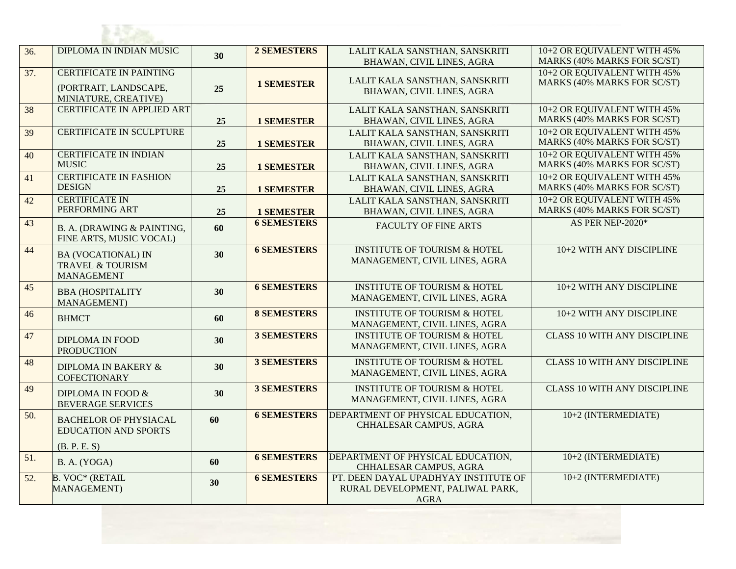| 36. | DIPLOMA IN INDIAN MUSIC                                                         | 30 | 2 SEMESTERS        | LALIT KALA SANSTHAN, SANSKRITI<br>BHAWAN, CIVIL LINES, AGRA                             | 10+2 OR EQUIVALENT WITH 45%<br>MARKS (40% MARKS FOR SC/ST)        |
|-----|---------------------------------------------------------------------------------|----|--------------------|-----------------------------------------------------------------------------------------|-------------------------------------------------------------------|
| 37. | <b>CERTIFICATE IN PAINTING</b><br>(PORTRAIT, LANDSCAPE,<br>MINIATURE, CREATIVE) | 25 | <b>1 SEMESTER</b>  | LALIT KALA SANSTHAN, SANSKRITI<br>BHAWAN, CIVIL LINES, AGRA                             | 10+2 OR EQUIVALENT WITH 45%<br>MARKS (40% MARKS FOR SC/ST)        |
| 38  | <b>CERTIFICATE IN APPLIED ART</b>                                               | 25 | <b>1 SEMESTER</b>  | LALIT KALA SANSTHAN, SANSKRITI<br>BHAWAN, CIVIL LINES, AGRA                             | 10+2 OR EQUIVALENT WITH 45%<br>MARKS (40% MARKS FOR SC/ST)        |
| 39  | CERTIFICATE IN SCULPTURE                                                        | 25 | <b>1 SEMESTER</b>  | LALIT KALA SANSTHAN, SANSKRITI<br>BHAWAN, CIVIL LINES, AGRA                             | 10+2 OR EQUIVALENT WITH 45%<br>MARKS (40% MARKS FOR SC/ST)        |
| 40  | <b>CERTIFICATE IN INDIAN</b><br><b>MUSIC</b>                                    | 25 | <b>1 SEMESTER</b>  | LALIT KALA SANSTHAN, SANSKRITI<br>BHAWAN, CIVIL LINES, AGRA                             | 10+2 OR EQUIVALENT WITH 45%<br><b>MARKS (40% MARKS FOR SC/ST)</b> |
| 41  | <b>CERTIFICATE IN FASHION</b><br><b>DESIGN</b>                                  | 25 | <b>1 SEMESTER</b>  | LALIT KALA SANSTHAN, SANSKRITI<br>BHAWAN, CIVIL LINES, AGRA                             | 10+2 OR EQUIVALENT WITH 45%<br><b>MARKS (40% MARKS FOR SC/ST)</b> |
| 42  | <b>CERTIFICATE IN</b><br>PERFORMING ART                                         | 25 | <b>1 SEMESTER</b>  | LALIT KALA SANSTHAN, SANSKRITI<br>BHAWAN, CIVIL LINES, AGRA                             | 10+2 OR EQUIVALENT WITH 45%<br>MARKS (40% MARKS FOR SC/ST)        |
| 43  | B. A. (DRAWING & PAINTING,<br>FINE ARTS, MUSIC VOCAL)                           | 60 | <b>6 SEMESTERS</b> | <b>FACULTY OF FINE ARTS</b>                                                             | AS PER NEP-2020*                                                  |
| 44  | <b>BA (VOCATIONAL) IN</b><br><b>TRAVEL &amp; TOURISM</b><br><b>MANAGEMENT</b>   | 30 | <b>6 SEMESTERS</b> | <b>INSTITUTE OF TOURISM &amp; HOTEL</b><br>MANAGEMENT, CIVIL LINES, AGRA                | 10+2 WITH ANY DISCIPLINE                                          |
| 45  | <b>BBA (HOSPITALITY</b><br><b>MANAGEMENT</b> )                                  | 30 | <b>6 SEMESTERS</b> | <b>INSTITUTE OF TOURISM &amp; HOTEL</b><br>MANAGEMENT, CIVIL LINES, AGRA                | 10+2 WITH ANY DISCIPLINE                                          |
| 46  | <b>BHMCT</b>                                                                    | 60 | <b>8 SEMESTERS</b> | <b>INSTITUTE OF TOURISM &amp; HOTEL</b><br>MANAGEMENT, CIVIL LINES, AGRA                | 10+2 WITH ANY DISCIPLINE                                          |
| 47  | <b>DIPLOMA IN FOOD</b><br><b>PRODUCTION</b>                                     | 30 | <b>3 SEMESTERS</b> | <b>INSTITUTE OF TOURISM &amp; HOTEL</b><br>MANAGEMENT, CIVIL LINES, AGRA                | <b>CLASS 10 WITH ANY DISCIPLINE</b>                               |
| 48  | <b>DIPLOMA IN BAKERY &amp;</b><br><b>COFECTIONARY</b>                           | 30 | <b>3 SEMESTERS</b> | <b>INSTITUTE OF TOURISM &amp; HOTEL</b><br>MANAGEMENT, CIVIL LINES, AGRA                | <b>CLASS 10 WITH ANY DISCIPLINE</b>                               |
| 49  | DIPLOMA IN FOOD &<br><b>BEVERAGE SERVICES</b>                                   | 30 | <b>3 SEMESTERS</b> | <b>INSTITUTE OF TOURISM &amp; HOTEL</b><br>MANAGEMENT, CIVIL LINES, AGRA                | <b>CLASS 10 WITH ANY DISCIPLINE</b>                               |
| 50. | <b>BACHELOR OF PHYSIACAL</b><br><b>EDUCATION AND SPORTS</b>                     | 60 | <b>6 SEMESTERS</b> | DEPARTMENT OF PHYSICAL EDUCATION,<br>CHHALESAR CAMPUS, AGRA                             | 10+2 (INTERMEDIATE)                                               |
| 51. | (B. P. E. S)<br>B. A. (YOGA)                                                    | 60 | <b>6 SEMESTERS</b> | DEPARTMENT OF PHYSICAL EDUCATION,<br>CHHALESAR CAMPUS, AGRA                             | 10+2 (INTERMEDIATE)                                               |
| 52. | <b>B. VOC* (RETAIL</b><br><b>MANAGEMENT</b> )                                   | 30 | <b>6 SEMESTERS</b> | PT. DEEN DAYAL UPADHYAY INSTITUTE OF<br>RURAL DEVELOPMENT, PALIWAL PARK,<br><b>AGRA</b> | 10+2 (INTERMEDIATE)                                               |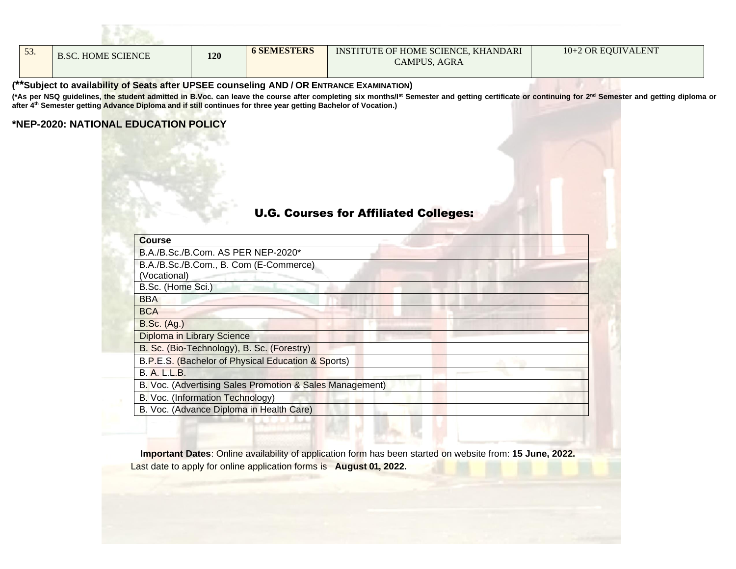| $\Gamma$<br>53. | <b>B.SC. HOME SCIENCE</b> | 120 | <b>6 SEMESTERS</b> | INSTITUTE OF HOME SCIENCE, KHANDARI<br><b>CAMPUS, AGRA</b> | 10+2 OR EQUIVALENT |
|-----------------|---------------------------|-----|--------------------|------------------------------------------------------------|--------------------|

#### **(\*\*Subject to availability of Seats after UPSEE counseling AND / OR ENTRANCE EXAMINATION)**

(\*As per NSQ guidelines, the student admitted in B.Voc. can leave the course after completing six months/l<sup>st</sup> Semester and getting certificate or continuing for 2<sup>nd</sup> Semester and getting diploma or **after 4th Semester getting Advance Diploma and if still continues for three year getting Bachelor of Vocation.)**

#### **\*NEP-2020: NATIONAL EDUCATION POLICY**

**BASIC** 

### U.G. Courses for Affiliated Colleges:

| <b>Course</b>                                            |  |
|----------------------------------------------------------|--|
| B.A./B.Sc./B.Com. AS PER NEP-2020*                       |  |
| B.A./B.Sc./B.Com., B. Com (E-Commerce)                   |  |
| (Vocational)                                             |  |
| B.Sc. (Home Sci.)                                        |  |
| <b>BBA</b>                                               |  |
| <b>BCA</b>                                               |  |
| <b>B.Sc.</b> (Ag.)                                       |  |
| Diploma in Library Science                               |  |
| B. Sc. (Bio-Technology), B. Sc. (Forestry)               |  |
| B.P.E.S. (Bachelor of Physical Education & Sports)       |  |
| <b>B. A. L.L.B.</b>                                      |  |
| B. Voc. (Advertising Sales Promotion & Sales Management) |  |
| B. Voc. (Information Technology)                         |  |
| B. Voc. (Advance Diploma in Health Care)                 |  |
|                                                          |  |

**Important Dates**: Online availability of application form has been started on website from: **15 June, 2022.** Last date to apply for online application forms is **August 01, 2022.**